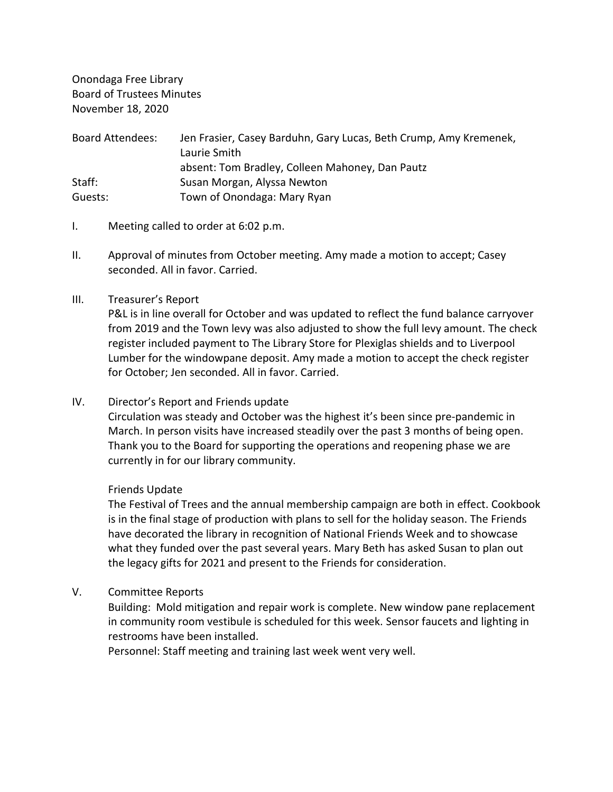Onondaga Free Library Board of Trustees Minutes November 18, 2020

| <b>Board Attendees:</b> | Jen Frasier, Casey Barduhn, Gary Lucas, Beth Crump, Amy Kremenek, |
|-------------------------|-------------------------------------------------------------------|
|                         | Laurie Smith                                                      |
|                         | absent: Tom Bradley, Colleen Mahoney, Dan Pautz                   |
| Staff:                  | Susan Morgan, Alyssa Newton                                       |
| Guests:                 | Town of Onondaga: Mary Ryan                                       |

- I. Meeting called to order at 6:02 p.m.
- II. Approval of minutes from October meeting. Amy made a motion to accept; Casey seconded. All in favor. Carried.

#### III. Treasurer's Report

P&L is in line overall for October and was updated to reflect the fund balance carryover from 2019 and the Town levy was also adjusted to show the full levy amount. The check register included payment to The Library Store for Plexiglas shields and to Liverpool Lumber for the windowpane deposit. Amy made a motion to accept the check register for October; Jen seconded. All in favor. Carried.

### IV. Director's Report and Friends update

Circulation was steady and October was the highest it's been since pre-pandemic in March. In person visits have increased steadily over the past 3 months of being open. Thank you to the Board for supporting the operations and reopening phase we are currently in for our library community.

#### Friends Update

The Festival of Trees and the annual membership campaign are both in effect. Cookbook is in the final stage of production with plans to sell for the holiday season. The Friends have decorated the library in recognition of National Friends Week and to showcase what they funded over the past several years. Mary Beth has asked Susan to plan out the legacy gifts for 2021 and present to the Friends for consideration.

## V. Committee Reports

Building: Mold mitigation and repair work is complete. New window pane replacement in community room vestibule is scheduled for this week. Sensor faucets and lighting in restrooms have been installed.

Personnel: Staff meeting and training last week went very well.